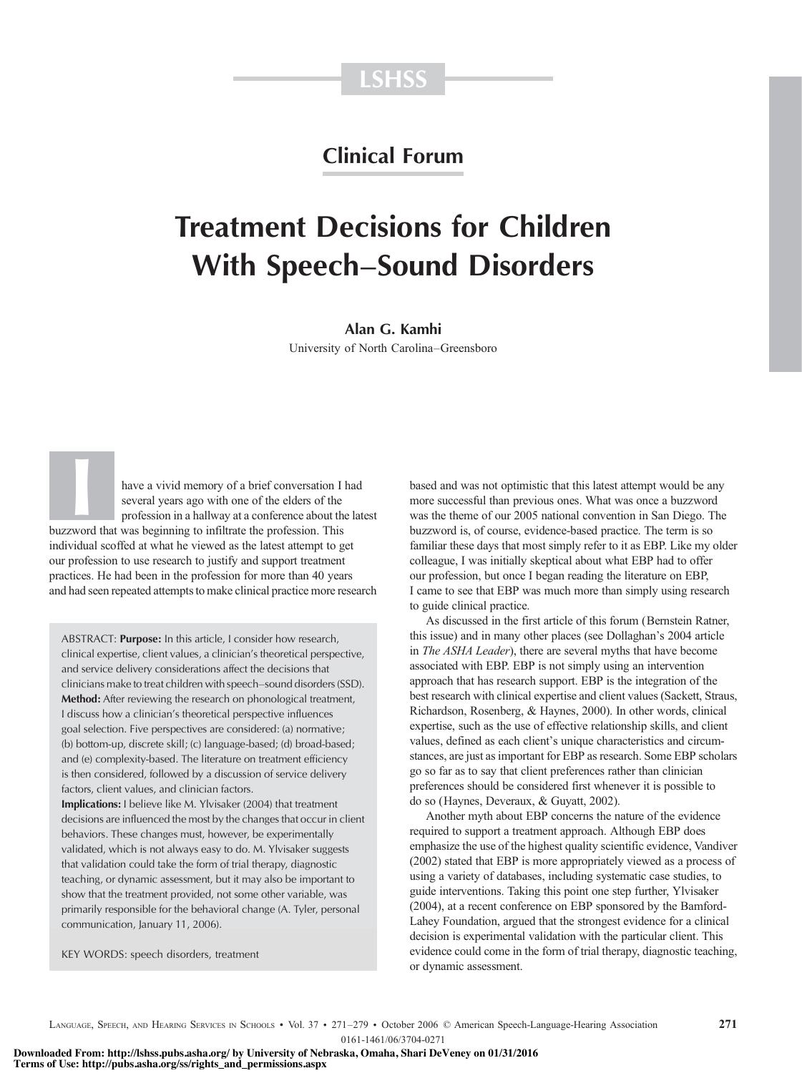# **LSHSS**

# Clinical Forum

# Treatment Decisions for Children With Speech–Sound Disorders

# Alan G. Kamhi

University of North Carolina–Greensboro



have a vivid memory of a brief conversation I had<br>several years ago with one of the elders of the<br>profession in a hallway at a conference about the latest<br>zword that was beginning to infiltrate the profession. This several years ago with one of the elders of the

buzzword that was beginning to infiltrate the profession. This individual scoffed at what he viewed as the latest attempt to get our profession to use research to justify and support treatment practices. He had been in the profession for more than 40 years and had seen repeated attempts to make clinical practice more research

ABSTRACT: Purpose: In this article, I consider how research, clinical expertise, client values, a clinician's theoretical perspective, and service delivery considerations affect the decisions that clinicians make to treat children with speech–sound disorders (SSD). Method: After reviewing the research on phonological treatment, I discuss how a clinician's theoretical perspective influences goal selection. Five perspectives are considered: (a) normative; (b) bottom-up, discrete skill; (c) language-based; (d) broad-based; and (e) complexity-based. The literature on treatment efficiency is then considered, followed by a discussion of service delivery factors, client values, and clinician factors.

Implications: I believe like M. Ylvisaker (2004) that treatment decisions are influenced the most by the changes that occur in client behaviors. These changes must, however, be experimentally validated, which is not always easy to do. M. Ylvisaker suggests that validation could take the form of trial therapy, diagnostic teaching, or dynamic assessment, but it may also be important to show that the treatment provided, not some other variable, was primarily responsible for the behavioral change (A. Tyler, personal communication, January 11, 2006).

KEY WORDS: speech disorders, treatment

**Terms of Use: http://pubs.asha.org/ss/rights\_and\_permissions.aspx**

based and was not optimistic that this latest attempt would be any more successful than previous ones. What was once a buzzword was the theme of our 2005 national convention in San Diego. The buzzword is, of course, evidence-based practice. The term is so familiar these days that most simply refer to it as EBP. Like my older colleague, I was initially skeptical about what EBP had to offer our profession, but once I began reading the literature on EBP, I came to see that EBP was much more than simply using research to guide clinical practice.

As discussed in the first article of this forum (Bernstein Ratner, this issue) and in many other places (see Dollaghan's 2004 article in The ASHA Leader), there are several myths that have become associated with EBP. EBP is not simply using an intervention approach that has research support. EBP is the integration of the best research with clinical expertise and client values (Sackett, Straus, Richardson, Rosenberg, & Haynes, 2000). In other words, clinical expertise, such as the use of effective relationship skills, and client values, defined as each client's unique characteristics and circumstances, are just as important for EBP as research. Some EBP scholars go so far as to say that client preferences rather than clinician preferences should be considered first whenever it is possible to do so (Haynes, Deveraux, & Guyatt, 2002).

Another myth about EBP concerns the nature of the evidence required to support a treatment approach. Although EBP does emphasize the use of the highest quality scientific evidence, Vandiver (2002) stated that EBP is more appropriately viewed as a process of using a variety of databases, including systematic case studies, to guide interventions. Taking this point one step further, Ylvisaker (2004), at a recent conference on EBP sponsored by the Bamford-Lahey Foundation, argued that the strongest evidence for a clinical decision is experimental validation with the particular client. This evidence could come in the form of trial therapy, diagnostic teaching, or dynamic assessment.

271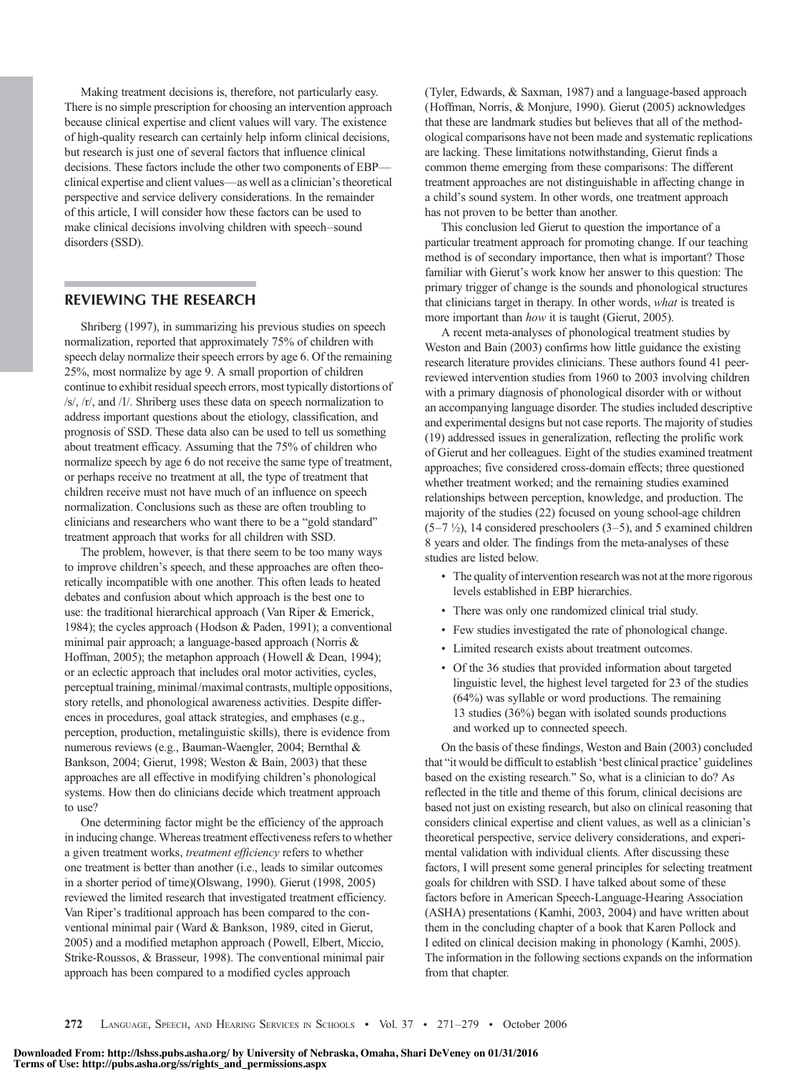Making treatment decisions is, therefore, not particularly easy. There is no simple prescription for choosing an intervention approach because clinical expertise and client values will vary. The existence of high-quality research can certainly help inform clinical decisions, but research is just one of several factors that influence clinical decisions. These factors include the other two components of EBP clinical expertise and client values—as well as a clinician's theoretical perspective and service delivery considerations. In the remainder of this article, I will consider how these factors can be used to make clinical decisions involving children with speech–sound disorders (SSD).

# REVIEWING THE RESEARCH

Shriberg (1997), in summarizing his previous studies on speech normalization, reported that approximately 75% of children with speech delay normalize their speech errors by age 6. Of the remaining 25%, most normalize by age 9. A small proportion of children continue to exhibit residual speech errors, most typically distortions of /s/, /r/, and /l/. Shriberg uses these data on speech normalization to address important questions about the etiology, classification, and prognosis of SSD. These data also can be used to tell us something about treatment efficacy. Assuming that the 75% of children who normalize speech by age 6 do not receive the same type of treatment, or perhaps receive no treatment at all, the type of treatment that children receive must not have much of an influence on speech normalization. Conclusions such as these are often troubling to clinicians and researchers who want there to be a "gold standard" treatment approach that works for all children with SSD.

The problem, however, is that there seem to be too many ways to improve children's speech, and these approaches are often theoretically incompatible with one another. This often leads to heated debates and confusion about which approach is the best one to use: the traditional hierarchical approach (Van Riper & Emerick, 1984); the cycles approach (Hodson & Paden, 1991); a conventional minimal pair approach; a language-based approach (Norris & Hoffman, 2005); the metaphon approach (Howell & Dean, 1994); or an eclectic approach that includes oral motor activities, cycles, perceptual training, minimal/maximal contrasts, multiple oppositions, story retells, and phonological awareness activities. Despite differences in procedures, goal attack strategies, and emphases (e.g., perception, production, metalinguistic skills), there is evidence from numerous reviews (e.g., Bauman-Waengler, 2004; Bernthal & Bankson, 2004; Gierut, 1998; Weston & Bain, 2003) that these approaches are all effective in modifying children's phonological systems. How then do clinicians decide which treatment approach to use?

One determining factor might be the efficiency of the approach in inducing change. Whereas treatment effectiveness refers to whether a given treatment works, treatment efficiency refers to whether one treatment is better than another (i.e., leads to similar outcomes in a shorter period of time)(Olswang, 1990). Gierut (1998, 2005) reviewed the limited research that investigated treatment efficiency. Van Riper's traditional approach has been compared to the conventional minimal pair (Ward & Bankson, 1989, cited in Gierut, 2005) and a modified metaphon approach (Powell, Elbert, Miccio, Strike-Roussos, & Brasseur, 1998). The conventional minimal pair approach has been compared to a modified cycles approach

(Tyler, Edwards, & Saxman, 1987) and a language-based approach (Hoffman, Norris, & Monjure, 1990). Gierut (2005) acknowledges that these are landmark studies but believes that all of the methodological comparisons have not been made and systematic replications are lacking. These limitations notwithstanding, Gierut finds a common theme emerging from these comparisons: The different treatment approaches are not distinguishable in affecting change in a child's sound system. In other words, one treatment approach has not proven to be better than another.

This conclusion led Gierut to question the importance of a particular treatment approach for promoting change. If our teaching method is of secondary importance, then what is important? Those familiar with Gierut's work know her answer to this question: The primary trigger of change is the sounds and phonological structures that clinicians target in therapy. In other words, what is treated is more important than *how* it is taught (Gierut, 2005).

A recent meta-analyses of phonological treatment studies by Weston and Bain (2003) confirms how little guidance the existing research literature provides clinicians. These authors found 41 peerreviewed intervention studies from 1960 to 2003 involving children with a primary diagnosis of phonological disorder with or without an accompanying language disorder. The studies included descriptive and experimental designs but not case reports. The majority of studies (19) addressed issues in generalization, reflecting the prolific work of Gierut and her colleagues. Eight of the studies examined treatment approaches; five considered cross-domain effects; three questioned whether treatment worked; and the remaining studies examined relationships between perception, knowledge, and production. The majority of the studies (22) focused on young school-age children  $(5-7 \frac{1}{2})$ , 14 considered preschoolers  $(3-5)$ , and 5 examined children 8 years and older. The findings from the meta-analyses of these studies are listed below.

- & The quality of intervention research was not at the more rigorous levels established in EBP hierarchies.
- & There was only one randomized clinical trial study.
- & Few studies investigated the rate of phonological change.
- & Limited research exists about treatment outcomes.
- & Of the 36 studies that provided information about targeted linguistic level, the highest level targeted for 23 of the studies (64%) was syllable or word productions. The remaining 13 studies (36%) began with isolated sounds productions and worked up to connected speech.

On the basis of these findings, Weston and Bain (2003) concluded that "it would be difficult to establish 'best clinical practice' guidelines based on the existing research." So, what is a clinician to do? As reflected in the title and theme of this forum, clinical decisions are based not just on existing research, but also on clinical reasoning that considers clinical expertise and client values, as well as a clinician's theoretical perspective, service delivery considerations, and experimental validation with individual clients. After discussing these factors, I will present some general principles for selecting treatment goals for children with SSD. I have talked about some of these factors before in American Speech-Language-Hearing Association (ASHA) presentations (Kamhi, 2003, 2004) and have written about them in the concluding chapter of a book that Karen Pollock and I edited on clinical decision making in phonology (Kamhi, 2005). The information in the following sections expands on the information from that chapter.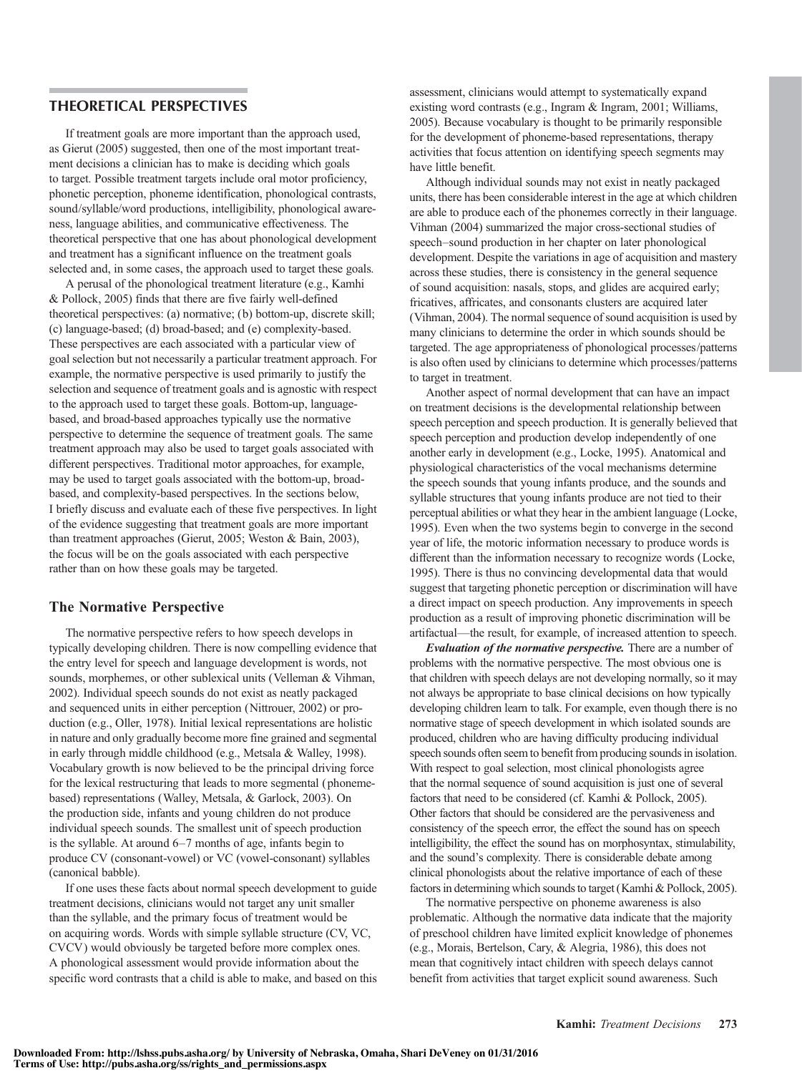### THEORETICAL PERSPECTIVES

If treatment goals are more important than the approach used, as Gierut (2005) suggested, then one of the most important treatment decisions a clinician has to make is deciding which goals to target. Possible treatment targets include oral motor proficiency, phonetic perception, phoneme identification, phonological contrasts, sound/syllable/word productions, intelligibility, phonological awareness, language abilities, and communicative effectiveness. The theoretical perspective that one has about phonological development and treatment has a significant influence on the treatment goals selected and, in some cases, the approach used to target these goals.

A perusal of the phonological treatment literature (e.g., Kamhi & Pollock, 2005) finds that there are five fairly well-defined theoretical perspectives: (a) normative; (b) bottom-up, discrete skill; (c) language-based; (d) broad-based; and (e) complexity-based. These perspectives are each associated with a particular view of goal selection but not necessarily a particular treatment approach. For example, the normative perspective is used primarily to justify the selection and sequence of treatment goals and is agnostic with respect to the approach used to target these goals. Bottom-up, languagebased, and broad-based approaches typically use the normative perspective to determine the sequence of treatment goals. The same treatment approach may also be used to target goals associated with different perspectives. Traditional motor approaches, for example, may be used to target goals associated with the bottom-up, broadbased, and complexity-based perspectives. In the sections below, I briefly discuss and evaluate each of these five perspectives. In light of the evidence suggesting that treatment goals are more important than treatment approaches (Gierut, 2005; Weston & Bain, 2003), the focus will be on the goals associated with each perspective rather than on how these goals may be targeted.

#### The Normative Perspective

The normative perspective refers to how speech develops in typically developing children. There is now compelling evidence that the entry level for speech and language development is words, not sounds, morphemes, or other sublexical units (Velleman & Vihman, 2002). Individual speech sounds do not exist as neatly packaged and sequenced units in either perception (Nittrouer, 2002) or production (e.g., Oller, 1978). Initial lexical representations are holistic in nature and only gradually become more fine grained and segmental in early through middle childhood (e.g., Metsala & Walley, 1998). Vocabulary growth is now believed to be the principal driving force for the lexical restructuring that leads to more segmental ( phonemebased) representations (Walley, Metsala, & Garlock, 2003). On the production side, infants and young children do not produce individual speech sounds. The smallest unit of speech production is the syllable. At around 6–7 months of age, infants begin to produce CV (consonant-vowel) or VC (vowel-consonant) syllables (canonical babble).

If one uses these facts about normal speech development to guide treatment decisions, clinicians would not target any unit smaller than the syllable, and the primary focus of treatment would be on acquiring words. Words with simple syllable structure (CV, VC, CVCV) would obviously be targeted before more complex ones. A phonological assessment would provide information about the specific word contrasts that a child is able to make, and based on this assessment, clinicians would attempt to systematically expand existing word contrasts (e.g., Ingram & Ingram, 2001; Williams, 2005). Because vocabulary is thought to be primarily responsible for the development of phoneme-based representations, therapy activities that focus attention on identifying speech segments may have little benefit.

Although individual sounds may not exist in neatly packaged units, there has been considerable interest in the age at which children are able to produce each of the phonemes correctly in their language. Vihman (2004) summarized the major cross-sectional studies of speech–sound production in her chapter on later phonological development. Despite the variations in age of acquisition and mastery across these studies, there is consistency in the general sequence of sound acquisition: nasals, stops, and glides are acquired early; fricatives, affricates, and consonants clusters are acquired later (Vihman, 2004). The normal sequence of sound acquisition is used by many clinicians to determine the order in which sounds should be targeted. The age appropriateness of phonological processes/patterns is also often used by clinicians to determine which processes/patterns to target in treatment.

Another aspect of normal development that can have an impact on treatment decisions is the developmental relationship between speech perception and speech production. It is generally believed that speech perception and production develop independently of one another early in development (e.g., Locke, 1995). Anatomical and physiological characteristics of the vocal mechanisms determine the speech sounds that young infants produce, and the sounds and syllable structures that young infants produce are not tied to their perceptual abilities or what they hear in the ambient language (Locke, 1995). Even when the two systems begin to converge in the second year of life, the motoric information necessary to produce words is different than the information necessary to recognize words (Locke, 1995). There is thus no convincing developmental data that would suggest that targeting phonetic perception or discrimination will have a direct impact on speech production. Any improvements in speech production as a result of improving phonetic discrimination will be artifactual—the result, for example, of increased attention to speech.

Evaluation of the normative perspective. There are a number of problems with the normative perspective. The most obvious one is that children with speech delays are not developing normally, so it may not always be appropriate to base clinical decisions on how typically developing children learn to talk. For example, even though there is no normative stage of speech development in which isolated sounds are produced, children who are having difficulty producing individual speech sounds often seem to benefit from producing sounds in isolation. With respect to goal selection, most clinical phonologists agree that the normal sequence of sound acquisition is just one of several factors that need to be considered (cf. Kamhi & Pollock, 2005). Other factors that should be considered are the pervasiveness and consistency of the speech error, the effect the sound has on speech intelligibility, the effect the sound has on morphosyntax, stimulability, and the sound's complexity. There is considerable debate among clinical phonologists about the relative importance of each of these factors in determining which sounds to target (Kamhi & Pollock, 2005).

The normative perspective on phoneme awareness is also problematic. Although the normative data indicate that the majority of preschool children have limited explicit knowledge of phonemes (e.g., Morais, Bertelson, Cary, & Alegria, 1986), this does not mean that cognitively intact children with speech delays cannot benefit from activities that target explicit sound awareness. Such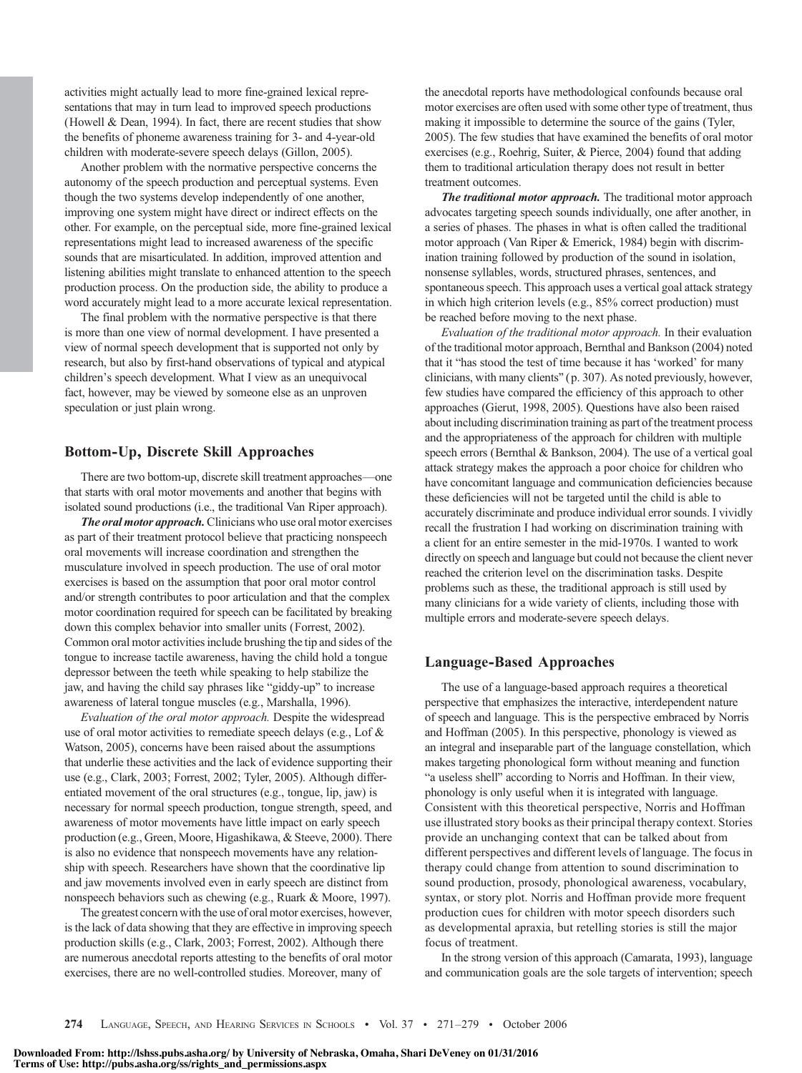activities might actually lead to more fine-grained lexical representations that may in turn lead to improved speech productions (Howell & Dean, 1994). In fact, there are recent studies that show the benefits of phoneme awareness training for 3- and 4-year-old children with moderate-severe speech delays (Gillon, 2005).

Another problem with the normative perspective concerns the autonomy of the speech production and perceptual systems. Even though the two systems develop independently of one another, improving one system might have direct or indirect effects on the other. For example, on the perceptual side, more fine-grained lexical representations might lead to increased awareness of the specific sounds that are misarticulated. In addition, improved attention and listening abilities might translate to enhanced attention to the speech production process. On the production side, the ability to produce a word accurately might lead to a more accurate lexical representation.

The final problem with the normative perspective is that there is more than one view of normal development. I have presented a view of normal speech development that is supported not only by research, but also by first-hand observations of typical and atypical children's speech development. What I view as an unequivocal fact, however, may be viewed by someone else as an unproven speculation or just plain wrong.

#### Bottom-Up, Discrete Skill Approaches

There are two bottom-up, discrete skill treatment approaches—one that starts with oral motor movements and another that begins with isolated sound productions (i.e., the traditional Van Riper approach).

The oral motor approach. Clinicians who use oral motor exercises as part of their treatment protocol believe that practicing nonspeech oral movements will increase coordination and strengthen the musculature involved in speech production. The use of oral motor exercises is based on the assumption that poor oral motor control and/or strength contributes to poor articulation and that the complex motor coordination required for speech can be facilitated by breaking down this complex behavior into smaller units (Forrest, 2002). Common oral motor activities include brushing the tip and sides of the tongue to increase tactile awareness, having the child hold a tongue depressor between the teeth while speaking to help stabilize the jaw, and having the child say phrases like "giddy-up" to increase awareness of lateral tongue muscles (e.g., Marshalla, 1996).

Evaluation of the oral motor approach. Despite the widespread use of oral motor activities to remediate speech delays (e.g., Lof & Watson, 2005), concerns have been raised about the assumptions that underlie these activities and the lack of evidence supporting their use (e.g., Clark, 2003; Forrest, 2002; Tyler, 2005). Although differentiated movement of the oral structures (e.g., tongue, lip, jaw) is necessary for normal speech production, tongue strength, speed, and awareness of motor movements have little impact on early speech production (e.g., Green, Moore, Higashikawa, & Steeve, 2000). There is also no evidence that nonspeech movements have any relationship with speech. Researchers have shown that the coordinative lip and jaw movements involved even in early speech are distinct from nonspeech behaviors such as chewing (e.g., Ruark & Moore, 1997).

The greatest concern with the use of oral motor exercises, however, is the lack of data showing that they are effective in improving speech production skills (e.g., Clark, 2003; Forrest, 2002). Although there are numerous anecdotal reports attesting to the benefits of oral motor exercises, there are no well-controlled studies. Moreover, many of

the anecdotal reports have methodological confounds because oral motor exercises are often used with some other type of treatment, thus making it impossible to determine the source of the gains (Tyler, 2005). The few studies that have examined the benefits of oral motor exercises (e.g., Roehrig, Suiter, & Pierce, 2004) found that adding them to traditional articulation therapy does not result in better treatment outcomes.

The traditional motor approach. The traditional motor approach advocates targeting speech sounds individually, one after another, in a series of phases. The phases in what is often called the traditional motor approach (Van Riper & Emerick, 1984) begin with discrimination training followed by production of the sound in isolation, nonsense syllables, words, structured phrases, sentences, and spontaneous speech. This approach uses a vertical goal attack strategy in which high criterion levels (e.g., 85% correct production) must be reached before moving to the next phase.

Evaluation of the traditional motor approach. In their evaluation of the traditional motor approach, Bernthal and Bankson (2004) noted that it "has stood the test of time because it has 'worked' for many clinicians, with many clients" ( p. 307). As noted previously, however, few studies have compared the efficiency of this approach to other approaches (Gierut, 1998, 2005). Questions have also been raised about including discrimination training as part of the treatment process and the appropriateness of the approach for children with multiple speech errors (Bernthal & Bankson, 2004). The use of a vertical goal attack strategy makes the approach a poor choice for children who have concomitant language and communication deficiencies because these deficiencies will not be targeted until the child is able to accurately discriminate and produce individual error sounds. I vividly recall the frustration I had working on discrimination training with a client for an entire semester in the mid-1970s. I wanted to work directly on speech and language but could not because the client never reached the criterion level on the discrimination tasks. Despite problems such as these, the traditional approach is still used by many clinicians for a wide variety of clients, including those with multiple errors and moderate-severe speech delays.

#### Language-Based Approaches

The use of a language-based approach requires a theoretical perspective that emphasizes the interactive, interdependent nature of speech and language. This is the perspective embraced by Norris and Hoffman (2005). In this perspective, phonology is viewed as an integral and inseparable part of the language constellation, which makes targeting phonological form without meaning and function "a useless shell" according to Norris and Hoffman. In their view, phonology is only useful when it is integrated with language. Consistent with this theoretical perspective, Norris and Hoffman use illustrated story books as their principal therapy context. Stories provide an unchanging context that can be talked about from different perspectives and different levels of language. The focus in therapy could change from attention to sound discrimination to sound production, prosody, phonological awareness, vocabulary, syntax, or story plot. Norris and Hoffman provide more frequent production cues for children with motor speech disorders such as developmental apraxia, but retelling stories is still the major focus of treatment.

In the strong version of this approach (Camarata, 1993), language and communication goals are the sole targets of intervention; speech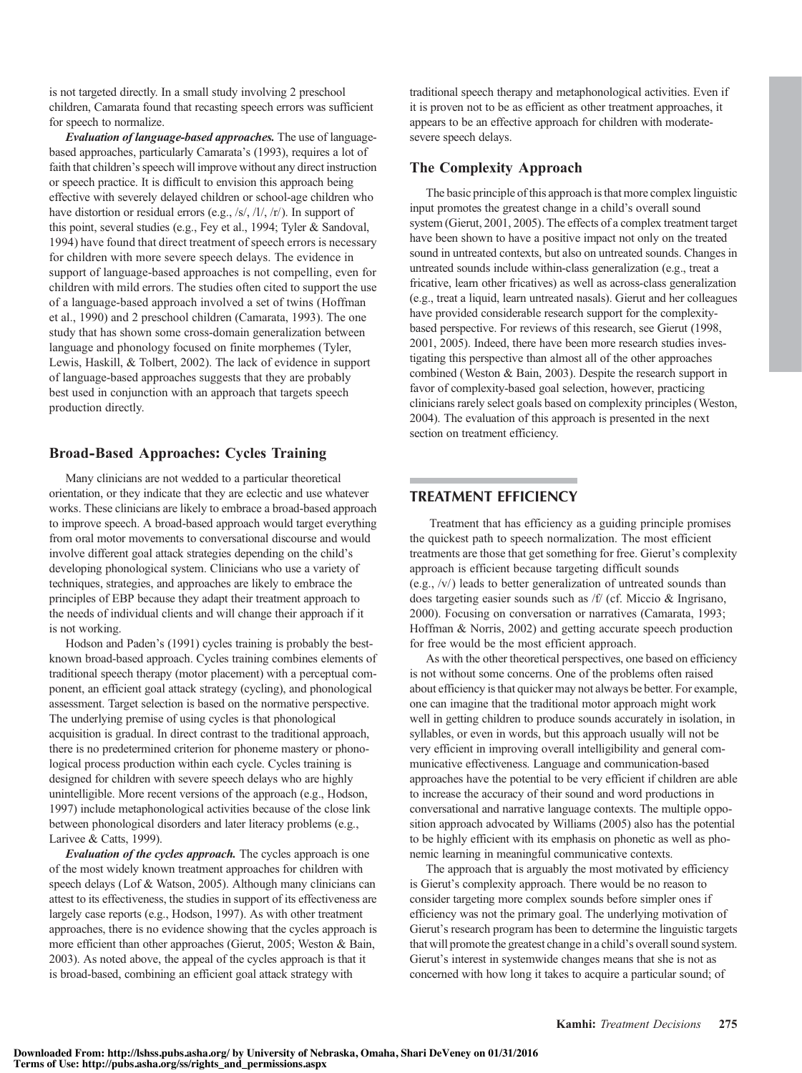is not targeted directly. In a small study involving 2 preschool children, Camarata found that recasting speech errors was sufficient for speech to normalize.

Evaluation of language-based approaches. The use of languagebased approaches, particularly Camarata's (1993), requires a lot of faith that children's speech will improve without any direct instruction or speech practice. It is difficult to envision this approach being effective with severely delayed children or school-age children who have distortion or residual errors (e.g., /s/, /l/, /r/). In support of this point, several studies (e.g., Fey et al., 1994; Tyler & Sandoval, 1994) have found that direct treatment of speech errors is necessary for children with more severe speech delays. The evidence in support of language-based approaches is not compelling, even for children with mild errors. The studies often cited to support the use of a language-based approach involved a set of twins (Hoffman et al., 1990) and 2 preschool children (Camarata, 1993). The one study that has shown some cross-domain generalization between language and phonology focused on finite morphemes (Tyler, Lewis, Haskill, & Tolbert, 2002). The lack of evidence in support of language-based approaches suggests that they are probably best used in conjunction with an approach that targets speech production directly.

### Broad-Based Approaches: Cycles Training

Many clinicians are not wedded to a particular theoretical orientation, or they indicate that they are eclectic and use whatever works. These clinicians are likely to embrace a broad-based approach to improve speech. A broad-based approach would target everything from oral motor movements to conversational discourse and would involve different goal attack strategies depending on the child's developing phonological system. Clinicians who use a variety of techniques, strategies, and approaches are likely to embrace the principles of EBP because they adapt their treatment approach to the needs of individual clients and will change their approach if it is not working.

Hodson and Paden's (1991) cycles training is probably the bestknown broad-based approach. Cycles training combines elements of traditional speech therapy (motor placement) with a perceptual component, an efficient goal attack strategy (cycling), and phonological assessment. Target selection is based on the normative perspective. The underlying premise of using cycles is that phonological acquisition is gradual. In direct contrast to the traditional approach, there is no predetermined criterion for phoneme mastery or phonological process production within each cycle. Cycles training is designed for children with severe speech delays who are highly unintelligible. More recent versions of the approach (e.g., Hodson, 1997) include metaphonological activities because of the close link between phonological disorders and later literacy problems (e.g., Larivee & Catts, 1999).

Evaluation of the cycles approach. The cycles approach is one of the most widely known treatment approaches for children with speech delays (Lof & Watson, 2005). Although many clinicians can attest to its effectiveness, the studies in support of its effectiveness are largely case reports (e.g., Hodson, 1997). As with other treatment approaches, there is no evidence showing that the cycles approach is more efficient than other approaches (Gierut, 2005; Weston & Bain, 2003). As noted above, the appeal of the cycles approach is that it is broad-based, combining an efficient goal attack strategy with

traditional speech therapy and metaphonological activities. Even if it is proven not to be as efficient as other treatment approaches, it appears to be an effective approach for children with moderatesevere speech delays.

### The Complexity Approach

The basic principle of this approach is that more complex linguistic input promotes the greatest change in a child's overall sound system (Gierut, 2001, 2005). The effects of a complex treatment target have been shown to have a positive impact not only on the treated sound in untreated contexts, but also on untreated sounds. Changes in untreated sounds include within-class generalization (e.g., treat a fricative, learn other fricatives) as well as across-class generalization (e.g., treat a liquid, learn untreated nasals). Gierut and her colleagues have provided considerable research support for the complexitybased perspective. For reviews of this research, see Gierut (1998, 2001, 2005). Indeed, there have been more research studies investigating this perspective than almost all of the other approaches combined (Weston & Bain, 2003). Despite the research support in favor of complexity-based goal selection, however, practicing clinicians rarely select goals based on complexity principles (Weston, 2004). The evaluation of this approach is presented in the next section on treatment efficiency.

# TREATMENT EFFICIENCY

Treatment that has efficiency as a guiding principle promises the quickest path to speech normalization. The most efficient treatments are those that get something for free. Gierut's complexity approach is efficient because targeting difficult sounds (e.g., /v/) leads to better generalization of untreated sounds than does targeting easier sounds such as /f/ (cf. Miccio & Ingrisano, 2000). Focusing on conversation or narratives (Camarata, 1993; Hoffman & Norris, 2002) and getting accurate speech production for free would be the most efficient approach.

As with the other theoretical perspectives, one based on efficiency is not without some concerns. One of the problems often raised about efficiency is that quicker may not always be better. For example, one can imagine that the traditional motor approach might work well in getting children to produce sounds accurately in isolation, in syllables, or even in words, but this approach usually will not be very efficient in improving overall intelligibility and general communicative effectiveness. Language and communication-based approaches have the potential to be very efficient if children are able to increase the accuracy of their sound and word productions in conversational and narrative language contexts. The multiple opposition approach advocated by Williams (2005) also has the potential to be highly efficient with its emphasis on phonetic as well as phonemic learning in meaningful communicative contexts.

The approach that is arguably the most motivated by efficiency is Gierut's complexity approach. There would be no reason to consider targeting more complex sounds before simpler ones if efficiency was not the primary goal. The underlying motivation of Gierut's research program has been to determine the linguistic targets that will promote the greatest change in a child's overall sound system. Gierut's interest in systemwide changes means that she is not as concerned with how long it takes to acquire a particular sound; of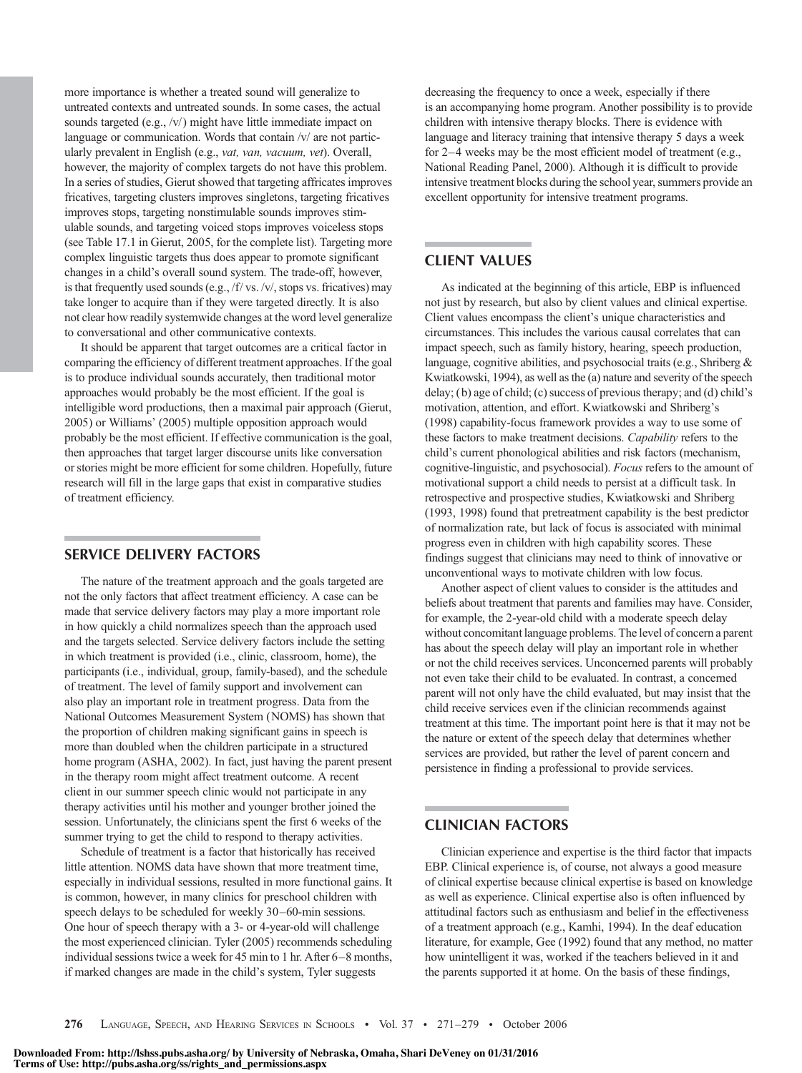more importance is whether a treated sound will generalize to untreated contexts and untreated sounds. In some cases, the actual sounds targeted (e.g., /v/) might have little immediate impact on language or communication. Words that contain /v/ are not particularly prevalent in English (e.g., vat, van, vacuum, vet). Overall, however, the majority of complex targets do not have this problem. In a series of studies, Gierut showed that targeting affricates improves fricatives, targeting clusters improves singletons, targeting fricatives improves stops, targeting nonstimulable sounds improves stimulable sounds, and targeting voiced stops improves voiceless stops (see Table 17.1 in Gierut, 2005, for the complete list). Targeting more complex linguistic targets thus does appear to promote significant changes in a child's overall sound system. The trade-off, however, is that frequently used sounds (e.g., /f/ vs. /v/, stops vs. fricatives) may take longer to acquire than if they were targeted directly. It is also not clear how readily systemwide changes at the word level generalize to conversational and other communicative contexts.

It should be apparent that target outcomes are a critical factor in comparing the efficiency of different treatment approaches. If the goal is to produce individual sounds accurately, then traditional motor approaches would probably be the most efficient. If the goal is intelligible word productions, then a maximal pair approach (Gierut, 2005) or Williams' (2005) multiple opposition approach would probably be the most efficient. If effective communication is the goal, then approaches that target larger discourse units like conversation or stories might be more efficient for some children. Hopefully, future research will fill in the large gaps that exist in comparative studies of treatment efficiency.

#### SERVICE DELIVERY FACTORS

The nature of the treatment approach and the goals targeted are not the only factors that affect treatment efficiency. A case can be made that service delivery factors may play a more important role in how quickly a child normalizes speech than the approach used and the targets selected. Service delivery factors include the setting in which treatment is provided (i.e., clinic, classroom, home), the participants (i.e., individual, group, family-based), and the schedule of treatment. The level of family support and involvement can also play an important role in treatment progress. Data from the National Outcomes Measurement System (NOMS) has shown that the proportion of children making significant gains in speech is more than doubled when the children participate in a structured home program (ASHA, 2002). In fact, just having the parent present in the therapy room might affect treatment outcome. A recent client in our summer speech clinic would not participate in any therapy activities until his mother and younger brother joined the session. Unfortunately, the clinicians spent the first 6 weeks of the summer trying to get the child to respond to therapy activities.

Schedule of treatment is a factor that historically has received little attention. NOMS data have shown that more treatment time, especially in individual sessions, resulted in more functional gains. It is common, however, in many clinics for preschool children with speech delays to be scheduled for weekly 30–60-min sessions. One hour of speech therapy with a 3- or 4-year-old will challenge the most experienced clinician. Tyler (2005) recommends scheduling individual sessions twice a week for 45 min to 1 hr. After 6–8 months, if marked changes are made in the child's system, Tyler suggests

decreasing the frequency to once a week, especially if there is an accompanying home program. Another possibility is to provide children with intensive therapy blocks. There is evidence with language and literacy training that intensive therapy 5 days a week for 2–4 weeks may be the most efficient model of treatment (e.g., National Reading Panel, 2000). Although it is difficult to provide intensive treatment blocks during the school year, summers provide an excellent opportunity for intensive treatment programs.

### CLIENT VALUES

As indicated at the beginning of this article, EBP is influenced not just by research, but also by client values and clinical expertise. Client values encompass the client's unique characteristics and circumstances. This includes the various causal correlates that can impact speech, such as family history, hearing, speech production, language, cognitive abilities, and psychosocial traits (e.g., Shriberg & Kwiatkowski, 1994), as well as the (a) nature and severity of the speech delay; ( b) age of child; (c) success of previous therapy; and (d) child's motivation, attention, and effort. Kwiatkowski and Shriberg's (1998) capability-focus framework provides a way to use some of these factors to make treatment decisions. Capability refers to the child's current phonological abilities and risk factors (mechanism, cognitive-linguistic, and psychosocial). Focus refers to the amount of motivational support a child needs to persist at a difficult task. In retrospective and prospective studies, Kwiatkowski and Shriberg (1993, 1998) found that pretreatment capability is the best predictor of normalization rate, but lack of focus is associated with minimal progress even in children with high capability scores. These findings suggest that clinicians may need to think of innovative or unconventional ways to motivate children with low focus.

Another aspect of client values to consider is the attitudes and beliefs about treatment that parents and families may have. Consider, for example, the 2-year-old child with a moderate speech delay without concomitant language problems. The level of concern a parent has about the speech delay will play an important role in whether or not the child receives services. Unconcerned parents will probably not even take their child to be evaluated. In contrast, a concerned parent will not only have the child evaluated, but may insist that the child receive services even if the clinician recommends against treatment at this time. The important point here is that it may not be the nature or extent of the speech delay that determines whether services are provided, but rather the level of parent concern and persistence in finding a professional to provide services.

# CLINICIAN FACTORS

Clinician experience and expertise is the third factor that impacts EBP. Clinical experience is, of course, not always a good measure of clinical expertise because clinical expertise is based on knowledge as well as experience. Clinical expertise also is often influenced by attitudinal factors such as enthusiasm and belief in the effectiveness of a treatment approach (e.g., Kamhi, 1994). In the deaf education literature, for example, Gee (1992) found that any method, no matter how unintelligent it was, worked if the teachers believed in it and the parents supported it at home. On the basis of these findings,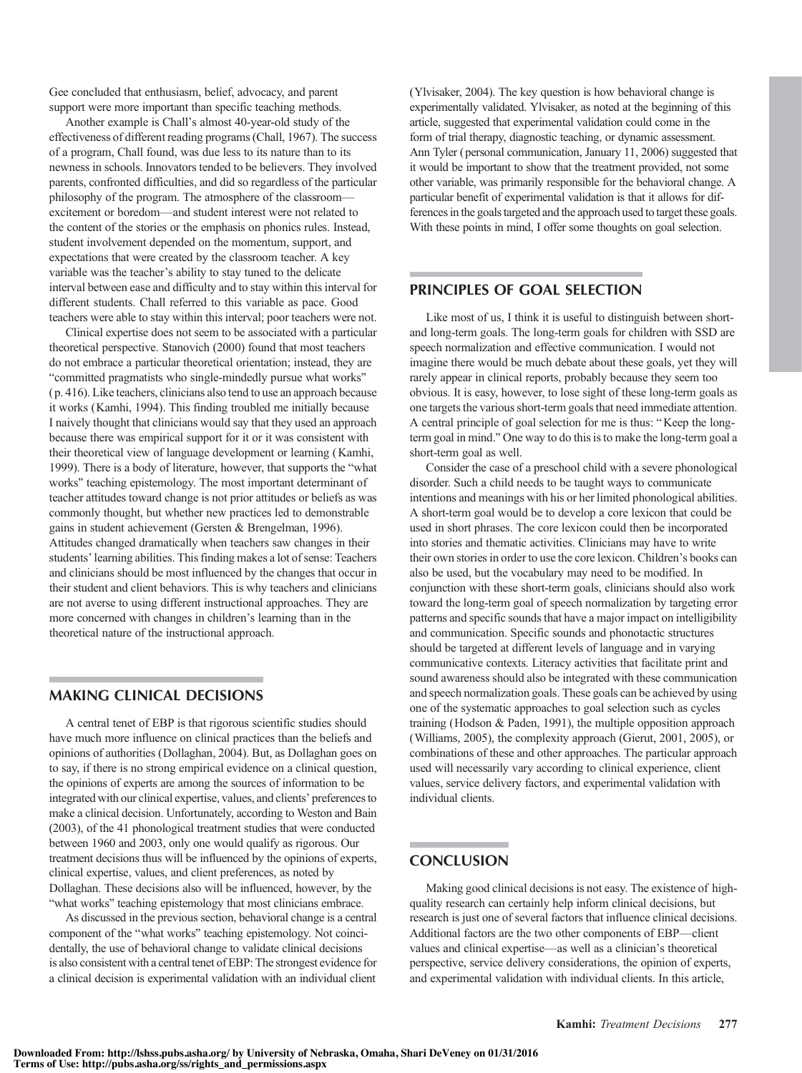Gee concluded that enthusiasm, belief, advocacy, and parent support were more important than specific teaching methods.

Another example is Chall's almost 40-year-old study of the effectiveness of different reading programs (Chall, 1967). The success of a program, Chall found, was due less to its nature than to its newness in schools. Innovators tended to be believers. They involved parents, confronted difficulties, and did so regardless of the particular philosophy of the program. The atmosphere of the classroom excitement or boredom—and student interest were not related to the content of the stories or the emphasis on phonics rules. Instead, student involvement depended on the momentum, support, and expectations that were created by the classroom teacher. A key variable was the teacher's ability to stay tuned to the delicate interval between ease and difficulty and to stay within this interval for different students. Chall referred to this variable as pace. Good teachers were able to stay within this interval; poor teachers were not.

Clinical expertise does not seem to be associated with a particular theoretical perspective. Stanovich (2000) found that most teachers do not embrace a particular theoretical orientation; instead, they are "committed pragmatists who single-mindedly pursue what works" ( p. 416). Like teachers, clinicians also tend to use an approach because it works (Kamhi, 1994). This finding troubled me initially because I naively thought that clinicians would say that they used an approach because there was empirical support for it or it was consistent with their theoretical view of language development or learning ( Kamhi, 1999). There is a body of literature, however, that supports the "what works" teaching epistemology. The most important determinant of teacher attitudes toward change is not prior attitudes or beliefs as was commonly thought, but whether new practices led to demonstrable gains in student achievement (Gersten & Brengelman, 1996). Attitudes changed dramatically when teachers saw changes in their students' learning abilities. This finding makes a lot of sense: Teachers and clinicians should be most influenced by the changes that occur in their student and client behaviors. This is why teachers and clinicians are not averse to using different instructional approaches. They are more concerned with changes in children's learning than in the theoretical nature of the instructional approach.

# MAKING CLINICAL DECISIONS

A central tenet of EBP is that rigorous scientific studies should have much more influence on clinical practices than the beliefs and opinions of authorities (Dollaghan, 2004). But, as Dollaghan goes on to say, if there is no strong empirical evidence on a clinical question, the opinions of experts are among the sources of information to be integrated with our clinical expertise, values, and clients' preferences to make a clinical decision. Unfortunately, according to Weston and Bain (2003), of the 41 phonological treatment studies that were conducted between 1960 and 2003, only one would qualify as rigorous. Our treatment decisions thus will be influenced by the opinions of experts, clinical expertise, values, and client preferences, as noted by Dollaghan. These decisions also will be influenced, however, by the "what works" teaching epistemology that most clinicians embrace.

As discussed in the previous section, behavioral change is a central component of the "what works" teaching epistemology. Not coincidentally, the use of behavioral change to validate clinical decisions is also consistent with a central tenet of EBP: The strongest evidence for a clinical decision is experimental validation with an individual client (Ylvisaker, 2004). The key question is how behavioral change is experimentally validated. Ylvisaker, as noted at the beginning of this article, suggested that experimental validation could come in the form of trial therapy, diagnostic teaching, or dynamic assessment. Ann Tyler (personal communication, January 11, 2006) suggested that it would be important to show that the treatment provided, not some other variable, was primarily responsible for the behavioral change. A particular benefit of experimental validation is that it allows for differences in the goals targeted and the approach used to target these goals. With these points in mind, I offer some thoughts on goal selection.

# PRINCIPLES OF GOAL SELECTION

Like most of us, I think it is useful to distinguish between shortand long-term goals. The long-term goals for children with SSD are speech normalization and effective communication. I would not imagine there would be much debate about these goals, yet they will rarely appear in clinical reports, probably because they seem too obvious. It is easy, however, to lose sight of these long-term goals as one targets the various short-term goals that need immediate attention. A central principle of goal selection for me is thus: "Keep the longterm goal in mind." One way to do this is to make the long-term goal a short-term goal as well.

Consider the case of a preschool child with a severe phonological disorder. Such a child needs to be taught ways to communicate intentions and meanings with his or her limited phonological abilities. A short-term goal would be to develop a core lexicon that could be used in short phrases. The core lexicon could then be incorporated into stories and thematic activities. Clinicians may have to write their own stories in order to use the core lexicon. Children's books can also be used, but the vocabulary may need to be modified. In conjunction with these short-term goals, clinicians should also work toward the long-term goal of speech normalization by targeting error patterns and specific sounds that have a major impact on intelligibility and communication. Specific sounds and phonotactic structures should be targeted at different levels of language and in varying communicative contexts. Literacy activities that facilitate print and sound awareness should also be integrated with these communication and speech normalization goals. These goals can be achieved by using one of the systematic approaches to goal selection such as cycles training (Hodson & Paden, 1991), the multiple opposition approach (Williams, 2005), the complexity approach (Gierut, 2001, 2005), or combinations of these and other approaches. The particular approach used will necessarily vary according to clinical experience, client values, service delivery factors, and experimental validation with individual clients.

### **CONCLUSION**

Making good clinical decisions is not easy. The existence of highquality research can certainly help inform clinical decisions, but research is just one of several factors that influence clinical decisions. Additional factors are the two other components of EBP—client values and clinical expertise—as well as a clinician's theoretical perspective, service delivery considerations, the opinion of experts, and experimental validation with individual clients. In this article,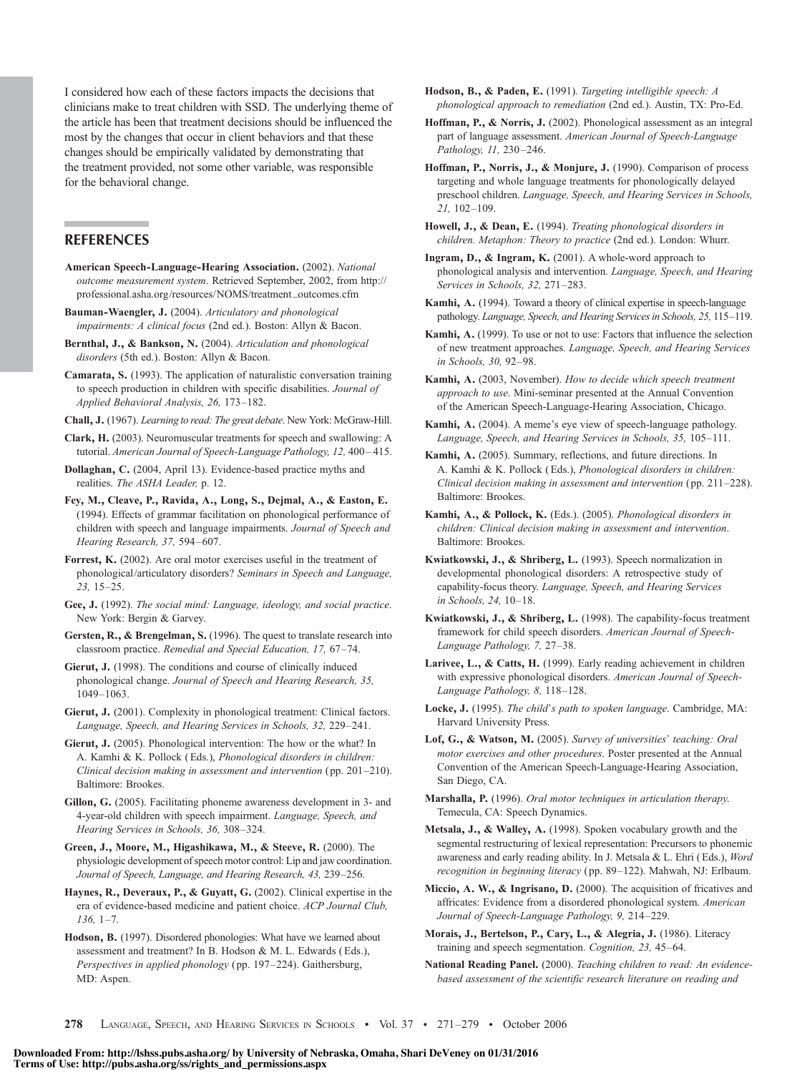I considered how each of these factors impacts the decisions that clinicians make to treat children with SSD. The underlying theme of the article has been that treatment decisions should be influenced the most by the changes that occur in client behaviors and that these changes should be empirically validated by demonstrating that the treatment provided, not some other variable, was responsible for the behavioral change.

#### **REFERENCES**

- American Speech-Language-Hearing Association. (2002). National outcome measurement system. Retrieved September, 2002, from http:// professional.asha.org/resources/NOMS/treatment\_outcomes.cfm
- Bauman-Waengler, J. (2004). Articulatory and phonological impairments: A clinical focus (2nd ed.). Boston: Allyn & Bacon.
- Bernthal, J., & Bankson, N. (2004). Articulation and phonological disorders (5th ed.). Boston: Allyn & Bacon.
- Camarata, S. (1993). The application of naturalistic conversation training to speech production in children with specific disabilities. Journal of Applied Behavioral Analysis, 26, 173–182.
- Chall, J. (1967). Learning to read: The great debate. New York: McGraw-Hill.
- Clark, H. (2003). Neuromuscular treatments for speech and swallowing: A tutorial. American Journal of Speech-Language Pathology, 12, 400–415.
- Dollaghan, C. (2004, April 13). Evidence-based practice myths and realities. The ASHA Leader, p. 12.
- Fey, M., Cleave, P., Ravida, A., Long, S., Dejmal, A., & Easton, E. (1994). Effects of grammar facilitation on phonological performance of children with speech and language impairments. Journal of Speech and Hearing Research, 37, 594–607.
- Forrest, K. (2002). Are oral motor exercises useful in the treatment of phonological/articulatory disorders? Seminars in Speech and Language, 23, 15–25.
- Gee, J. (1992). The social mind: Language, ideology, and social practice. New York: Bergin & Garvey.
- Gersten, R., & Brengelman, S. (1996). The quest to translate research into classroom practice. Remedial and Special Education, 17, 67–74.
- Gierut, J. (1998). The conditions and course of clinically induced phonological change. Journal of Speech and Hearing Research, 35, 1049–1063.
- Gierut, J. (2001). Complexity in phonological treatment: Clinical factors. Language, Speech, and Hearing Services in Schools, 32, 229–241.
- Gierut, J. (2005). Phonological intervention: The how or the what? In A. Kamhi & K. Pollock (Eds.), Phonological disorders in children: Clinical decision making in assessment and intervention (pp. 201–210). Baltimore: Brookes.
- Gillon, G. (2005). Facilitating phoneme awareness development in 3- and 4-year-old children with speech impairment. Language, Speech, and Hearing Services in Schools, 36, 308–324.
- Green, J., Moore, M., Higashikawa, M., & Steeve, R. (2000). The physiologic development of speech motor control: Lip and jaw coordination. Journal of Speech, Language, and Hearing Research, 43, 239–256.
- Haynes, R., Deveraux, P., & Guyatt, G. (2002). Clinical expertise in the era of evidence-based medicine and patient choice. ACP Journal Club, 136, 1–7.
- Hodson, B. (1997). Disordered phonologies: What have we learned about assessment and treatment? In B. Hodson & M. L. Edwards ( Eds.), Perspectives in applied phonology ( pp. 197–224). Gaithersburg, MD: Aspen.
- Hodson, B., & Paden, E. (1991). Targeting intelligible speech: A phonological approach to remediation (2nd ed.). Austin, TX: Pro-Ed.
- Hoffman, P., & Norris, J. (2002). Phonological assessment as an integral part of language assessment. American Journal of Speech-Language Pathology, 11, 230–246.
- Hoffman, P., Norris, J., & Monjure, J. (1990). Comparison of process targeting and whole language treatments for phonologically delayed preschool children. Language, Speech, and Hearing Services in Schools, 21, 102–109.
- Howell, J., & Dean, E. (1994). Treating phonological disorders in children. Metaphon: Theory to practice (2nd ed.). London: Whurr.
- Ingram, D., & Ingram, K. (2001). A whole-word approach to phonological analysis and intervention. Language, Speech, and Hearing Services in Schools, 32, 271–283.
- Kamhi, A. (1994). Toward a theory of clinical expertise in speech-language pathology. Language, Speech, and Hearing Services in Schools, 25, 115–119.
- Kamhi, A. (1999). To use or not to use: Factors that influence the selection of new treatment approaches. Language, Speech, and Hearing Services in Schools, 30, 92–98.
- Kamhi, A. (2003, November). How to decide which speech treatment approach to use. Mini-seminar presented at the Annual Convention of the American Speech-Language-Hearing Association, Chicago.
- Kamhi, A. (2004). A meme's eye view of speech-language pathology. Language, Speech, and Hearing Services in Schools, 35, 105–111.
- Kamhi, A. (2005). Summary, reflections, and future directions. In A. Kamhi & K. Pollock ( Eds.), Phonological disorders in children: Clinical decision making in assessment and intervention (pp. 211–228). Baltimore: Brookes.
- Kamhi, A., & Pollock, K. (Eds.). (2005). Phonological disorders in children: Clinical decision making in assessment and intervention. Baltimore: Brookes.
- Kwiatkowski, J., & Shriberg, L. (1993). Speech normalization in developmental phonological disorders: A retrospective study of capability-focus theory. Language, Speech, and Hearing Services in Schools, 24, 10–18.
- Kwiatkowski, J., & Shriberg, L. (1998). The capability-focus treatment framework for child speech disorders. American Journal of Speech-Language Pathology, 7, 27–38.
- Larivee, L., & Catts, H. (1999). Early reading achievement in children with expressive phonological disorders. American Journal of Speech-Language Pathology, 8, 118–128.
- Locke, J. (1995). The child's path to spoken language. Cambridge, MA: Harvard University Press.
- Lof, G., & Watson, M. (2005). Survey of universities' teaching: Oral motor exercises and other procedures. Poster presented at the Annual Convention of the American Speech-Language-Hearing Association, San Diego, CA.
- Marshalla, P. (1996). Oral motor techniques in articulation therapy. Temecula, CA: Speech Dynamics.
- Metsala, J., & Walley, A. (1998). Spoken vocabulary growth and the segmental restructuring of lexical representation: Precursors to phonemic awareness and early reading ability. In J. Metsala & L. Ehri ( Eds.), Word recognition in beginning literacy (pp. 89–122). Mahwah, NJ: Erlbaum.
- Miccio, A. W., & Ingrisano, D. (2000). The acquisition of fricatives and affricates: Evidence from a disordered phonological system. American Journal of Speech-Language Pathology, 9, 214–229.
- Morais, J., Bertelson, P., Cary, L., & Alegria, J. (1986). Literacy training and speech segmentation. Cognition, 23, 45–64.
- National Reading Panel. (2000). Teaching children to read: An evidencebased assessment of the scientific research literature on reading and